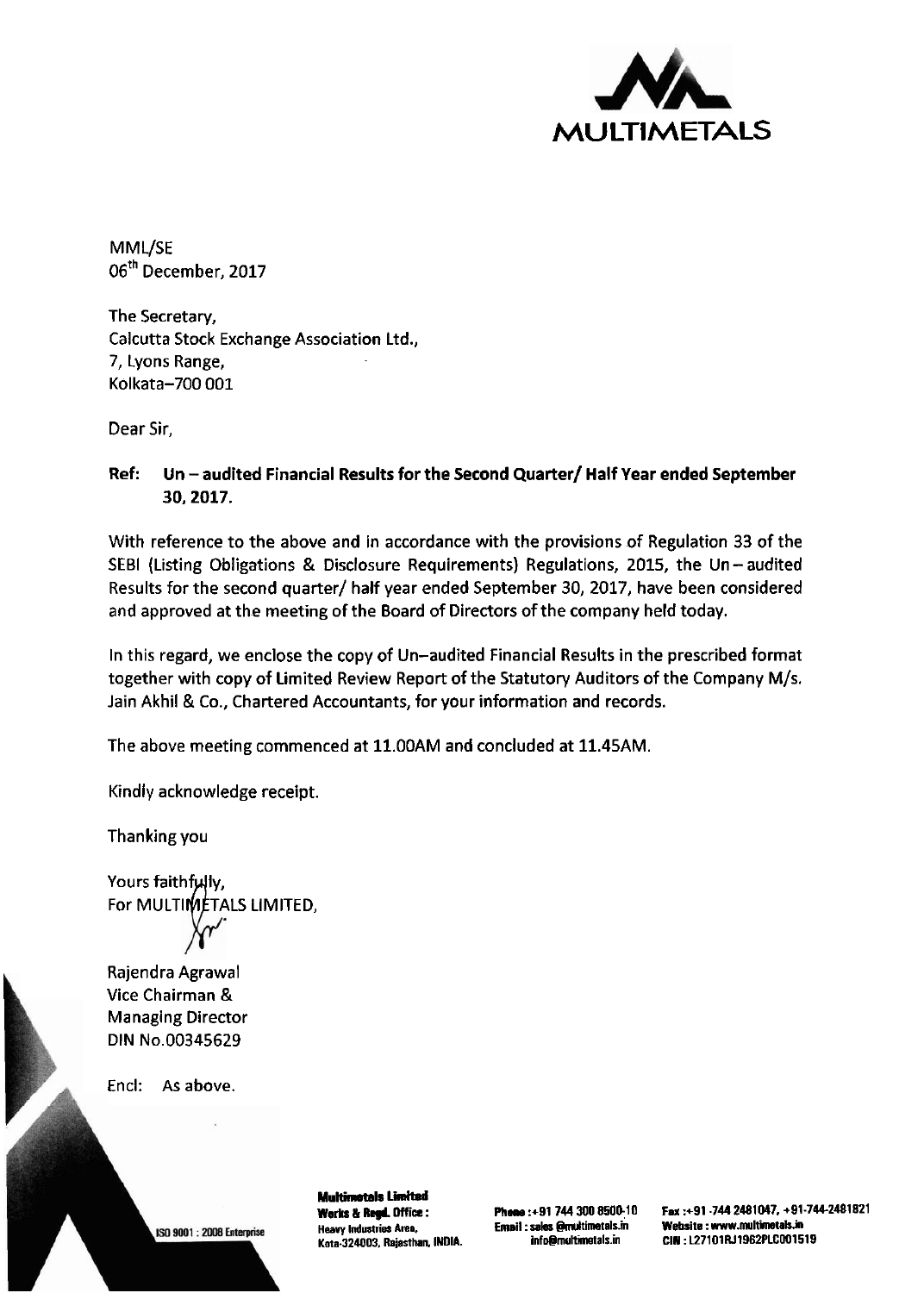

M ML/SE 06<sup>th</sup> December, 2017

The Secretary, Calcutta Stock Exchange Association Ltd., 7, Lyons Range, Kolkata-700 001

Dear Sir,

Ref: Un - audited Financial Results for the Second Quarter/ Half Year ended September 30,2017.

With reference to the above and in accordance with the provisions of Regulation 33 of the SEBI (Listing Obligations & Disclosure Requirements) Regulations, 2015, the Un-audited Results for the second quarter/ half year ended September 30,2017, have been considered and approved at the meeting of the Board of Directors of the company held today.

In this regard, we enclose the copy of Un-audited Financial Results in the prescribed format together with copy of Limited Review Report of the Statutory Auditors of the Company M/s. Jain Akhil & Co., Chartered Accountants, for your information and records.

The above meeting commenced at 11.00AM and concluded at 11.45AM.

Kindly acknowledge receipt.

Thanking you

Yours faithfully, For MULTIMETALS LIMITED,

Rajendra Agrawal Vice Chairman & Managing Director DIN No.00345629

Encl: As above.

ISO 9001: 2008 Enterprise

**Multimatals Limited Works** & **Rqd. Office** : **Heavy Industries Area, Kota-324003, Rajasthan, INDIA.** 

**Phone :+91 744 300 8500:lO Email** : **sales @rmltimetals.in info@multimetals.in** 

**Fax :+91 -744 2481047, +91-744-2481821 Website : www.multimetals.in CIN** : **L27101RJ1962PLCO01519**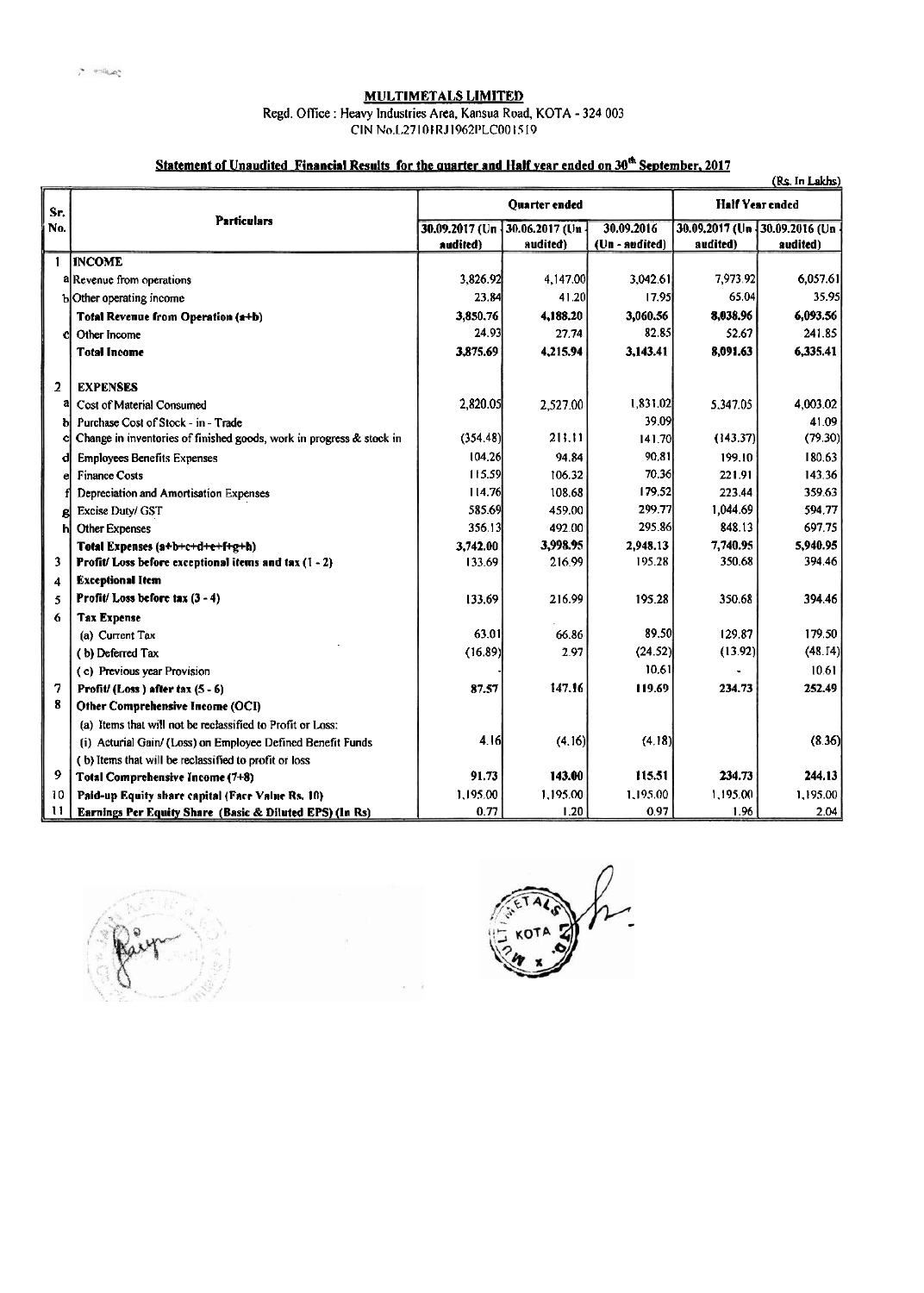## MULTIMETALS LIMITED

Regd. Office : Heavy Industries Area, Kansua Road, KOTA - 324 003

ClN No.1..27101 **R.1** I9621'LCOO 15 19

## Statement of Unaudited Financial Results for the quarter and Half year ended on 30<sup>th</sup> September, 2017

|                | <u>Statement of Unaudited Pinancial Results for the quarter and Halt year ended on 30" September, 2017</u> |                            |                            |                              |                        | (Rs. In Lakhs)                                |
|----------------|------------------------------------------------------------------------------------------------------------|----------------------------|----------------------------|------------------------------|------------------------|-----------------------------------------------|
| Sr.            | <b>Particulars</b>                                                                                         | <b>Ouarter</b> ended       |                            |                              | <b>Half Year ended</b> |                                               |
| No.            |                                                                                                            | 30.09.2017 (Un<br>audited) | 30.06.2017 (Un<br>audited) | 30.09.2016<br>(Un - audited) | audited)               | 30.09.2017 (Un - 30.09.2016 (Un -<br>audited) |
| $\mathbf{1}$   | <b>INCOME</b>                                                                                              |                            |                            |                              |                        |                                               |
|                | a Revenue from operations                                                                                  | 3,826.92                   | 4,147.00                   | 3,042.61                     | 7,973.92               | 6.057.61                                      |
|                | b Other operating income                                                                                   | 23.84                      | 41.20                      | 17.95                        | 65.04                  | 35.95                                         |
|                | <b>Total Revenue from Operation (a+b)</b>                                                                  | 3.850.76                   | 4.188.20                   | 3,060.56                     | 8.038.96               | 6,093.56                                      |
| c              | Other Income                                                                                               | 24.93                      | 27.74                      | 82.85                        | 52.67                  | 241.85                                        |
|                | <b>Total Income</b>                                                                                        | 3,875.69                   | 4,215,94                   | 3,143.41                     | 8,091.63               | 6,335.41                                      |
| $\overline{2}$ | <b>EXPENSES</b>                                                                                            |                            |                            |                              |                        |                                               |
| ā              | Cost of Material Consumed                                                                                  | 2,820.05                   | 2.527.00                   | 1,831.02                     | 5.347.05               | 4.003.02                                      |
|                | Purchase Cost of Stock - in - Trade                                                                        |                            |                            | 39.09                        |                        | 41.09                                         |
|                | Change in inventories of finished goods, work in progress & stock in                                       | (354.48)                   | 211.11                     | 141.70                       | (143.37)               | (79.30)                                       |
|                | <b>Employees Benefits Expenses</b>                                                                         | 104.26                     | 94.84                      | 90.81                        | 199.10                 | 180.63                                        |
|                | <b>Finance Costs</b>                                                                                       | 115.59                     | 106.32                     | 70.36                        | 221.91                 | 143.36                                        |
|                | Depreciation and Amortisation Expenses                                                                     | 114.76                     | 108.68                     | 179.52                       | 223.44                 | 359.63                                        |
| g              | Excise Duty/ GST                                                                                           | 585.69                     | 459.00                     | 299.77                       | 1.044.69               | 594.77                                        |
| h              | <b>Other Expenses</b>                                                                                      | 356.13                     | 492.00                     | 295.86                       | 848.13                 | 697.75                                        |
|                | Total Expenses (a+b+c+d+e+f+g+h)                                                                           | 3,742.00                   | 3,998.95                   | 2,948.13                     | 7,740.95               | 5,940.95                                      |
| 3              | <b>Profit/Loss before exceptional items and tax <math>(1 - 2)</math></b>                                   | 133.69                     | 216.99                     | 195.28                       | 350.68                 | 394.46                                        |
| 4              | <b>Exceptional Item</b>                                                                                    |                            |                            |                              |                        |                                               |
| 5              | Profit/Loss before tax $(3 - 4)$                                                                           | 133.69                     | 216.99                     | 195.28                       | 350.68                 | 394.46                                        |
| 6              | <b>Tax Expense</b>                                                                                         |                            |                            |                              |                        |                                               |
|                | (a) Current Tax                                                                                            | 63.01                      | 66.86                      | 89.50                        | 129.87                 | 179.50                                        |
|                | (b) Deferred Tax                                                                                           | (16.89)                    | 297                        | (24.52)                      | (13.92)                | (48.14)                                       |
|                | (c) Previous year Provision                                                                                |                            |                            | 10.61                        |                        | 10.61                                         |
| 7              | Profit/ $(Loss)$ after tax $(5 - 6)$                                                                       | 87.57                      | 147.16                     | 119.69                       | 234.73                 | 252.49                                        |
| 8              | Other Comprehensive Income (OCI)                                                                           |                            |                            |                              |                        |                                               |
|                | (a) Items that will not be reclassified to Profit or Loss:                                                 |                            |                            |                              |                        |                                               |
|                | (i) Acturial Gain/ (Loss) on Employee Defined Benefit Funds                                                | 4.16                       | (4.16)                     | (4.18)                       |                        | (8.36)                                        |
|                | (b) Items that will be reclassified to profit or loss                                                      |                            |                            |                              |                        |                                               |
| 9              | Total Comprehensive Income (7+8)                                                                           | 91.73                      | 143.00                     | 115.51                       | 234.73                 | 244.13                                        |
| 10             | Paid-up Equity share capital (Face Value Rs. 10)                                                           | 1.195.00                   | 1,195.00                   | 1.195.00                     | 1.195.00               | 1.195.00                                      |
| u              | Earnings Per Equity Share (Basic & Diluted EPS) (In Rs)                                                    | 0.77                       | 1.20                       | 0.97                         | 1.96                   | 2.04                                          |



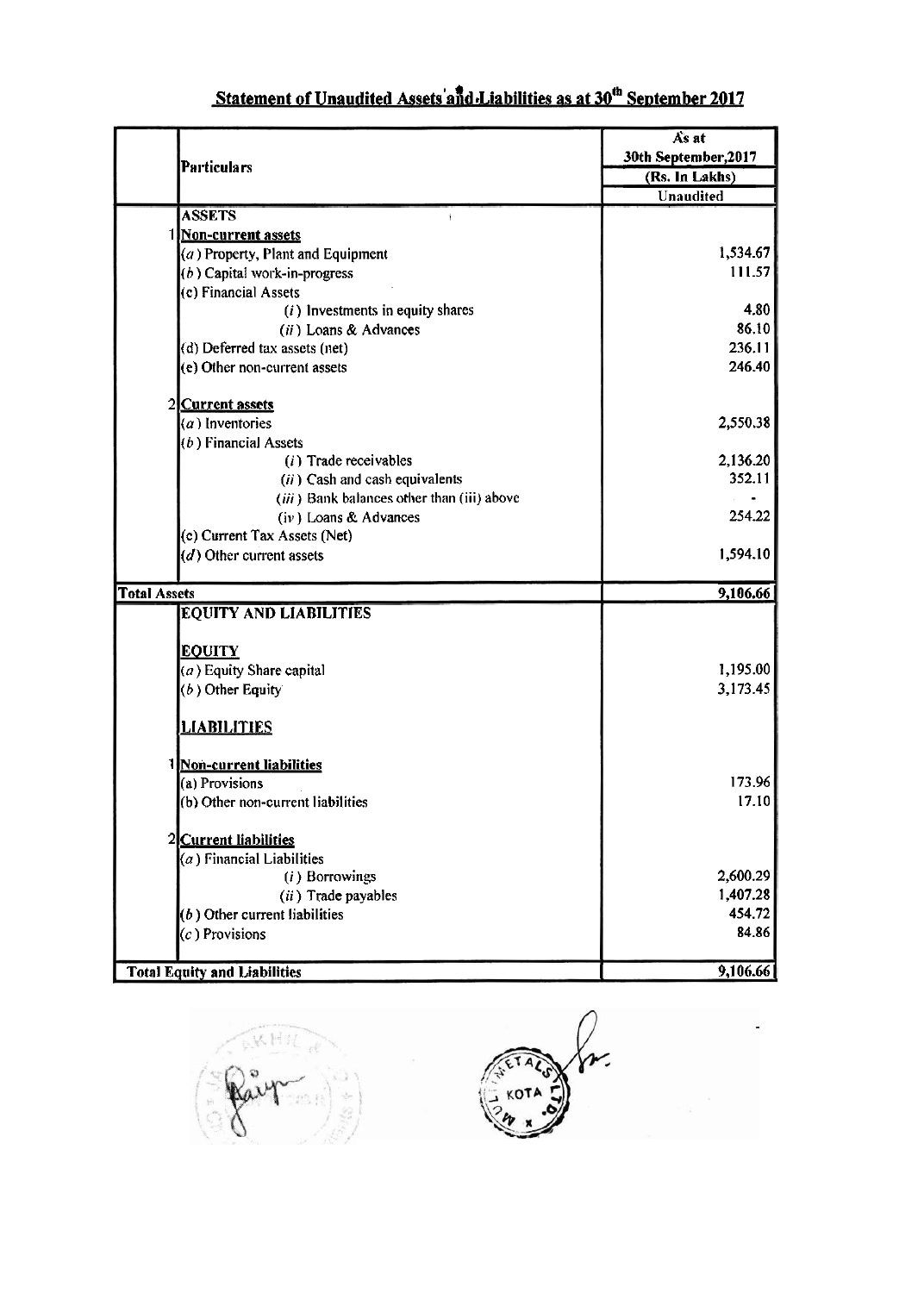|  |  | Statement of Unaudited Assets and Liabilities as at 30 <sup>th</sup> September 2017 |
|--|--|-------------------------------------------------------------------------------------|
|--|--|-------------------------------------------------------------------------------------|

|                                     |                                            | As at                |  |  |
|-------------------------------------|--------------------------------------------|----------------------|--|--|
|                                     |                                            | 30th September, 2017 |  |  |
| <b>Particulars</b>                  |                                            | (Rs. In Lakhs)       |  |  |
|                                     |                                            | Unaudited            |  |  |
| <b>ASSETS</b>                       | $\mathfrak{f}$                             |                      |  |  |
|                                     | <b>Non-current assets</b>                  |                      |  |  |
|                                     | $(a)$ Property, Plant and Equipment        | 1,534.67             |  |  |
|                                     | $(b)$ Capital work-in-progress             | 111.57               |  |  |
| (c) Financial Assets                |                                            |                      |  |  |
|                                     | $(i)$ Investments in equity shares         | 4.80                 |  |  |
|                                     | (ii) Loans & Advances                      | 86.10                |  |  |
|                                     | (d) Deferred tax assets (net)              | 236.11               |  |  |
|                                     | (e) Other non-current assets               | 246.40               |  |  |
| 2 Current assets                    |                                            |                      |  |  |
| $(a)$ Inventories                   |                                            | 2,550.38             |  |  |
| $(b)$ Financial Assets              |                                            |                      |  |  |
|                                     | $(i)$ Trade receivables                    | 2,136.20             |  |  |
|                                     | $(ii)$ Cash and cash equivalents           | 352.11               |  |  |
|                                     | (iii) Bank balances other than (iii) above |                      |  |  |
|                                     | (iv) Loans & Advances                      | 254.22               |  |  |
|                                     | (c) Current Tax Assets (Net)               |                      |  |  |
| $(d)$ Other current assets          |                                            | 1,594.10             |  |  |
|                                     |                                            |                      |  |  |
| <b>Total Assets</b>                 |                                            | 9,106.66             |  |  |
|                                     | <b>EQUITY AND LIABILITIES</b>              |                      |  |  |
|                                     |                                            |                      |  |  |
| <b>EQUITY</b>                       |                                            |                      |  |  |
| $(a)$ Equity Share capital          |                                            | 1,195.00             |  |  |
| $(b)$ Other Equity                  |                                            | 3,173.45             |  |  |
| <b>LIABILITIES</b>                  |                                            |                      |  |  |
| 1 Non-current liabilities           |                                            |                      |  |  |
| (a) Provisions                      |                                            | 173.96               |  |  |
|                                     | (b) Other non-current liabilities          | 17.10                |  |  |
| 2 Current liabilities               |                                            |                      |  |  |
| $(a)$ Financial Liabilities         |                                            |                      |  |  |
|                                     | (i) Borrowings                             | 2,600.29             |  |  |
|                                     | (ii) Trade payables                        | 1,407.28             |  |  |
| $(b)$ Other current liabilities     |                                            | 454.72               |  |  |
| $(c)$ Provisions                    |                                            | 84.86                |  |  |
|                                     |                                            |                      |  |  |
| <b>Total Equity and Liabilities</b> |                                            | 9,106.66             |  |  |

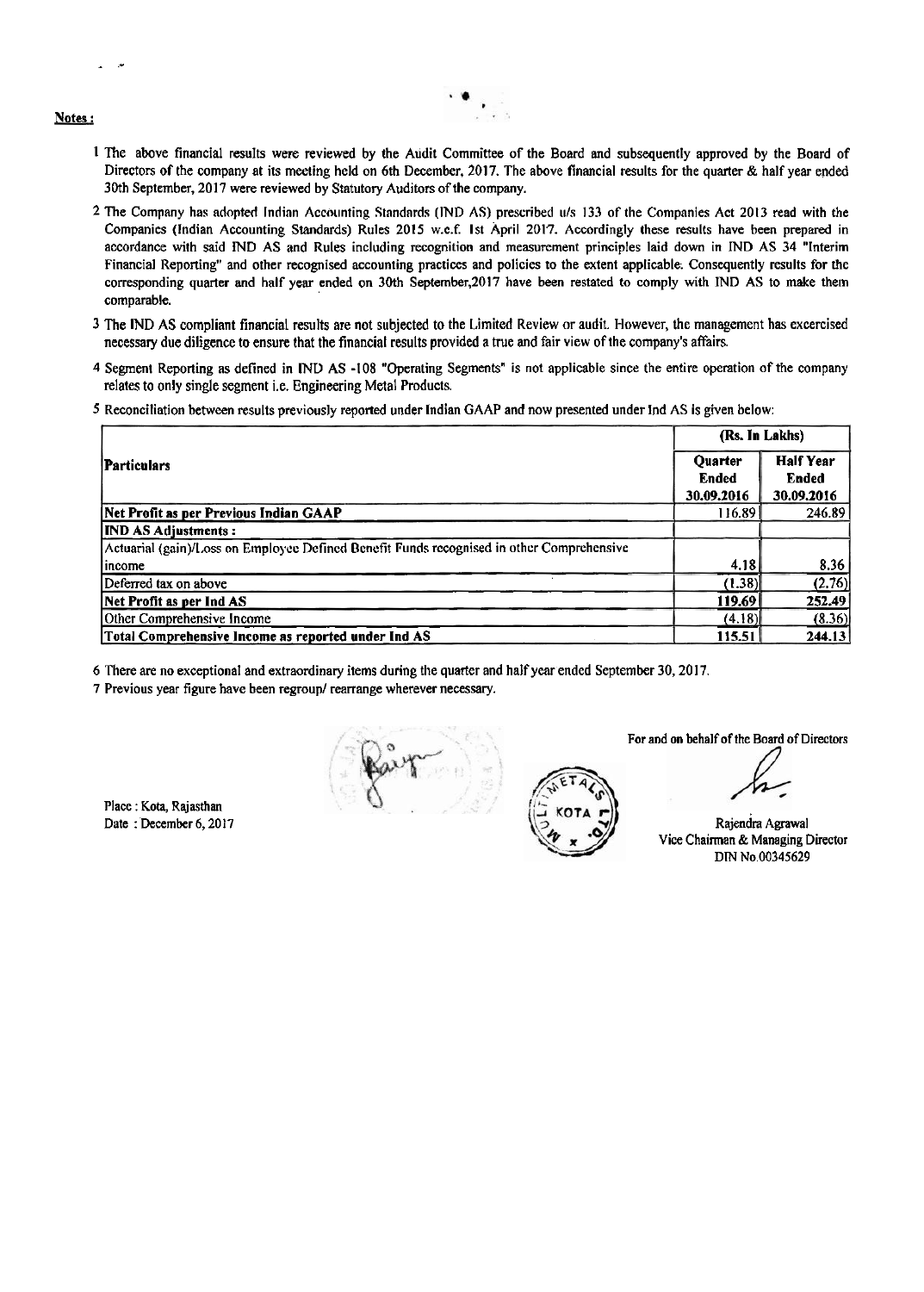Notes :

- .-

- **<sup>1</sup>**The above financial results were reviewed by the Audit Committee of the Board and subsequently approved by the Board of Directors of the company at its meeting held on 6th December, 2017. The above financial results for the quarter & half year ended 30th September, 2017 were reviewed by Statutory Auditors of the company.
- 2 The Company has adopted Indian Accounting Standards (IND AS) prescribed **111s** 133 of the Companies Act 2013 read with the Companies (Indian Accounting Standards) Rules 2015 w.e.f. 1st April 2017. Accordingly these results have been prepared in accordance with said MD AS and Rules including recognition and measurement principles laid down in lND AS 34 "Interim Financial Reporting" and other recognised accounting practices and policies to the extent applicable. Consequently results for the corresponding quarter and half year ended on 30th September,2017 have been restated to comply with IND AS to make them comparable.
- **3** The IND AS compliant financial results are not subjected to the Limited Review or audit. However, the management has excercised necessary due diligence to ensure that the financial results provided a true and fair view of the company's affairs.
- 4 Segment Reporting as defined in IND AS -108 "Operating Segments" is not applicable since the entire operation of the company relates to only single segment i.e. Engineering Metal Products.
- 5 Reconciliation between results previously reported under Indian GAAP and now presented under Ind AS is given below:

|                                                                                           | (Rs. In Lakhs)                        |                                                |
|-------------------------------------------------------------------------------------------|---------------------------------------|------------------------------------------------|
| <b>Particulars</b>                                                                        | Quarter<br><b>Ended</b><br>30.09.2016 | <b>Half Year</b><br><b>Ended</b><br>30.09.2016 |
| Net Profit as per Previous Indian GAAP                                                    | 116.89                                | 246.89                                         |
| <b>IND AS Adiustments:</b>                                                                |                                       |                                                |
| Actuarial (gain)/Loss on Employee Defined Benefit Funds recognised in other Comprehensive |                                       |                                                |
| lincome                                                                                   | 4.18                                  | 8.36                                           |
| Deferred tax on above                                                                     | (1.38)                                | (2.76)                                         |
| Net Profit as per Ind AS                                                                  | 119.69                                | 252.49                                         |
| Other Comprehensive Income                                                                | (4.18)                                | (8.36)                                         |
| Total Comprehensive Income as reported under Ind AS                                       | 115.51                                | 244.13                                         |

6 There are no exceptional and extraordinary items during the quarter and half year ended September 30,201 7.

7 Previous year figure have been regroup/ rearrange wherever necessary.

Place : Kota, Rajasthan Date: December 6, 2017

For and on behalf of the Board of Directors

Rajendra Agrawal Vice Chairman & Managing Director DIN No.00345629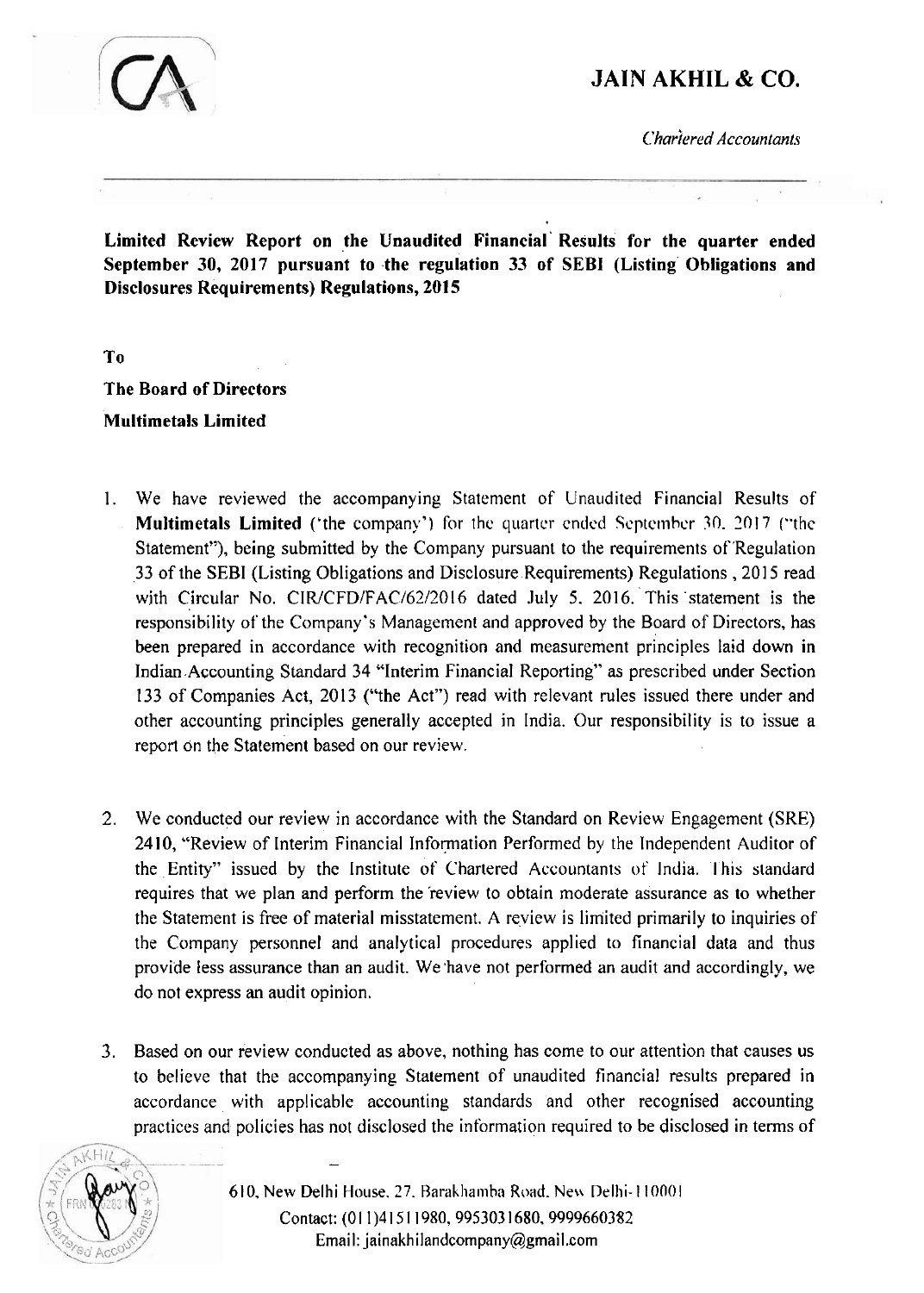

## **JAIN AKHIL** & *CO.*

*C'hariered Accountants* 

**Limited Review Report on the Unaudited Financial' Results for the quarter ended September 30, 2017 pursuant to the regulation 33 of SEBI (Listing Obligations and Disclosures Requirements) Regulations, 2015** 

**To** 

**The Board of Directors Multimetals Limited** 

- 1. We have reviewed the accompanying Statement of Unaudited Financial Results of **Multimetals Limited** ('the company') for the quarter ended September 30, 2017 ("the Statement"), being submitted by the Company pursuant to the requirements of 'Regulation 33 of the SEBI (Listing Obligations and Disclosure Requirements) Regulations, 2015 read with Circular No. CIR/CFD/FAC/62/2016 dated July 5. 2016. This statement is the responsibility of the Company's Management and approved by the Board of Directors, has been prepared in accordance with recognition and measurement principles laid down in Indian Accounting Standard 34 "Interim Financial Reporting" as prescribed under Section 133 of Companies Act, 2013 ("the Act") read with relevant rules issued there under and other accounting principles generally accepted in India. Our responsibility is to issue a report on the Statement based on our review.
- 2. We conducted our review in accordance with the Standard on Review Engagement (SRE) 2410, "Review of Interim Financial Information Performed by the Independent Auditor of the Entity" issued by the Institute of Chartered Accountants of' India. **l** his standard requires that we plan and perform the 'review to obtain moderate assurance as to whether the Statement is free of material misstatement. A review is limited primarily to inquiries of the Company personnel and analytical procedures applied to financial data and thus provide less assurance than an audit. We 'have not performed an audit and accordingly, we do not express an audit opinion.
- 3. Based on our review conducted as above, nothing has come to our attention that causes us to believe that the accompanying Statement of unaudited financial results prepared in accordance with applicable accounting standards and other recognised accounting practices and policies has not disclosed the information required to be disclosed in terms of



610, New Delhi House, 27. Barakhamba Road. New Delhi-110001 Contact: (011)41511980, 9953031680, 9999660382 Email: jainakhilandcompany@gmail.com

-